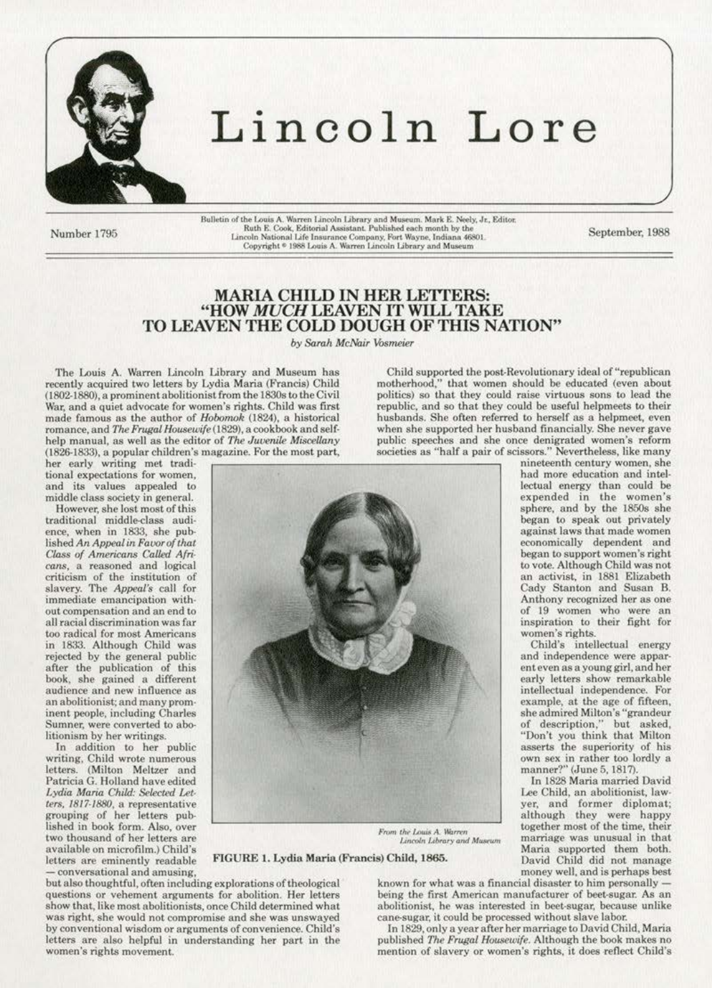

## Lincoln Lore

Number 1795

Bulletin of the Louis A. Warren Lincoln Library and Museum. Mark E. Neely, Jr., Editor.<br>Ruth E. Cook, Editorial Assistant. Published each month by the Lincoln National Life Insurance Company, Fort Wayne, Indiana 46801. Copyright <sup>®</sup> 1988 Louis A. Warren Lincoln Library and Museum

September, 1988

## MARIA CHILD IN HER LETTERS:<br>"HOW MUCH LEAVEN IT WILL TAKE TO LEAVEN THE COLD DOUGH OF THIS NATION"

by Sarah McNair Vosmeier

The Louis A. Warren Lincoln Library and Museum has recently acquired two letters by Lydia Maria (Francis) Child (1802-1880), a prominent abolitionist from the 1830s to the Civil War, and a quiet advocate for women's rights. Child was first made famous as the author of Hobomok (1824), a historical romance, and The Frugal Housewife (1829), a cookbook and selfhelp manual, as well as the editor of The Juvenile Miscellany (1826-1833), a popular children's magazine. For the most part,

her early writing met traditional expectations for women. and its values appealed to middle class society in general.

However, she lost most of this traditional middle-class audience, when in 1833, she published An Appeal in Favor of that Class of Americans Called Africans, a reasoned and logical criticism of the institution of slavery. The Appeal's call for immediate emancipation without compensation and an end to all racial discrimination was far too radical for most Americans in 1833. Although Child was rejected by the general public after the publication of this book, she gained a different<br>audience and new influence as an abolitionist; and many prominent people, including Charles Sumner, were converted to abolitionism by her writings.

In addition to her public writing, Child wrote numerous letters. (Milton Meltzer and Patricia G. Holland have edited Lydia Maria Child: Selected Letters, 1817-1880, a representative grouping of her letters published in book form. Also, over two thousand of her letters are available on microfilm.) Child's letters are eminently readable conversational and amusing,

Child supported the post-Revolutionary ideal of "republican motherhood," that women should be educated (even about politics) so that they could raise virtuous sons to lead the republic, and so that they could be useful helpmeets to their husbands. She often referred to herself as a helpmeet, even when she supported her husband financially. She never gave public speeches and she once denigrated women's reform societies as "half a pair of scissors." Nevertheless, like many nineteenth century women, she

had more education and intel-

lectual energy than could be

expended in the women's sphere, and by the 1850s she<br>began to speak out privately

against laws that made women

economically dependent and began to support women's right

to vote. Although Child was not

an activist, in 1881 Elizabeth

Cady Stanton and Susan B. Anthony recognized her as one

of 19 women who were an inspiration to their fight for

women's rights.<br>Child's intellectual energy

and independence were appar-

ent even as a young girl, and her

early letters show remarkable intellectual independence. For

example, at the age of fifteen, she admired Milton's "grandeur

of description," but asked, "Don't you think that Milton

asserts the superiority of his

own sex in rather too lordly a manner?" (June 5, 1817).

Lee Child, an abolitionist, law-

yer, and former diplomat;

although they were happy together most of the time, their

marriage was unusual in that

Maria supported them both.

David Child did not manage money well, and is perhaps best

In 1828 Maria married David



From the Louis A. Warren<br>Lincoln Library and Museum

## FIGURE 1. Lydia Maria (Francis) Child, 1865.

but also thoughtful, often including explorations of theological questions or vehement arguments for abolition. Her letters show that, like most abolitionists, once Child determined what was right, she would not compromise and she was unswayed by conventional wisdom or arguments of convenience. Child's letters are also helpful in understanding her part in the women's rights movement.

known for what was a financial disaster to him personally being the first American manufacturer of beet-sugar. As an abolitionist, he was interested in beet-sugar, because unlike cane-sugar, it could be processed without slave labor.

In 1829, only a year after her marriage to David Child, Maria published The Frugal Housewife. Although the book makes no mention of slavery or women's rights, it does reflect Child's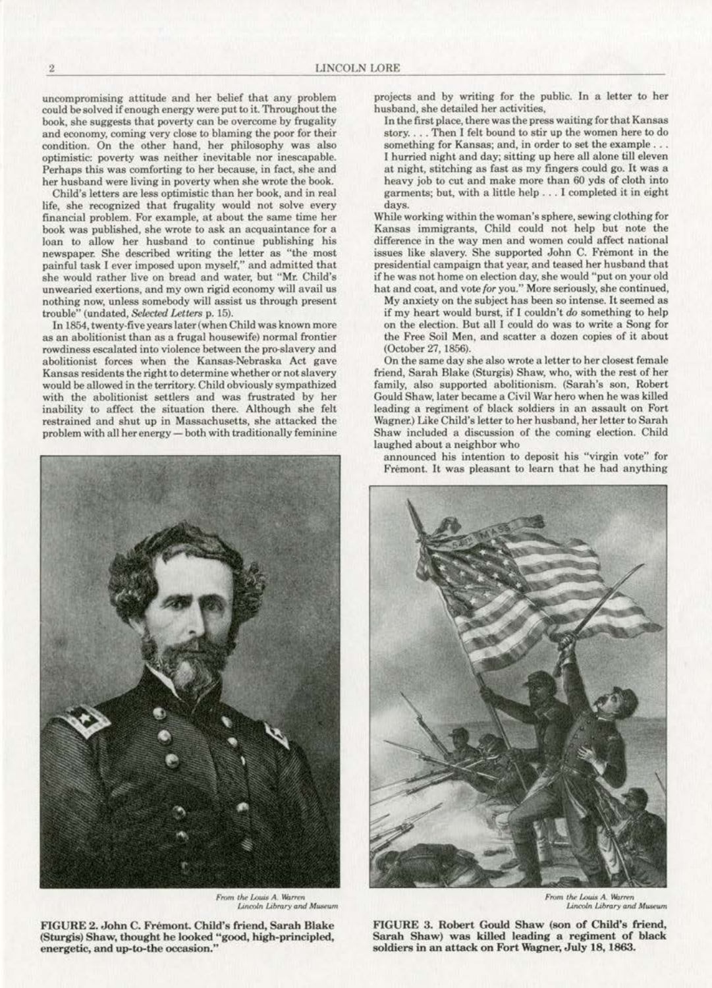uncompromising attitude and her belief that any problem could be solved if enough energy were put to it. Throughout the book, she suggests that poverty can he overcome by frugality **and economy, coming very close to blaming the poor for their**  condition. On the other hand, her philosophy was also **optimistic: poverty was neither inevitable nor inescapable.**  Perhape this was comforting to her because, in fact, she and her husband were living in poverty when she wrote the book.

Child's letters are less optimistic than her book, and in real **life, she recognized that frugality would not solve every financial problem. For example. at about the same time her book was published, she wrote to ask an acquaintance for a**   $\alpha$  to allow her husband to continue publishing his **newspaper. She described writing the letter as "the most**  painful task I ever imposed upon myself," and admitted that she would rather live on bread and water, but "Mr. Child's **unwearied exertions, and my own rigid economy will avail us nothing now. unless somebody will assist us through present**  trouble" (undated, *Selected Letters p. 15)*.

In 1854, twenty-five years later (when Child was known more **as an abolitionist than** as a **frugal housewife) normal frontier rowdiness escalated into violence between the pro-slavery and abolitionist forces when the Kansas·Nebraska Act gave Kansas residents the right to determine whether or not slavery**  would be allowed in the territory. Child obviously sympathized with the abolitionist settlers and was frustrated by her inability to affect the situation there. Although she felt restrained and shut up in Massachusetts, she attacked the problem with all her energy- both with traditionally feminine



From the Louis A. Warren Lincoln Library and Museum

FIGURE 2. John C. Frémont. Child's friend, Sarah Blake (Sturgis) Shaw, thought he looked "good, high-principled,  $i$  energetic, and up-to-the occasion."

projects and by writing for the public. In a letter to her husband, she detailed her activities,

In the first place, there was the press waiting for that Kansas story. . . . Then I felt bound to stir up the women here to do **something for Kansas; and. in order to set the example** ... I hurried night and day; sitting up here all alone till eleven at night, stitehing as fast as my fingers could go. It was a heavy job to cut and make more than 60 yds of cloth into garments; but, with a little help . , . I completed it in eight days.

**While working within the woman's sphere, sewing clothing for**  Kansas immigrants, Child could not help but note the **difference in the way men and women could affeet national**  issues like slavery. She supported John C. Fremont in the presidential campaign that year, and teased her husband that **if he was not home on election day, she would ''put on your old hat and coat, and vote {or you." More seriously, she continued,** 

 $Mv$  anxiety on the subject has been so intense. It seemed as if my heart would burst, if I couldn't do something to help on the election. But all I could do was to write a Song for the Free Soil Men, and scatter a dozen copies of it about (October 27, 1856).

On the same day she also wrote a letter to her closest female friend, Sarah Blake (Sturgis) Shaw, who, with the rest of her **family, also supported abolitionism. (Sarah's son. Robert**  Gould Shaw, later became a Civil War hero when he was killed **leading a regiment of black soldiers in an assault on Fort**  Wagner.) Like Child's letter to her husband, her letter to Sarah Shaw included a discussion of the coming election. Child laughed about a neighbor who

announced his intention to deposit his "virgin vote" for Fremont. It was pleasant to learn that he had anything



**Lincoln Library** and Museum

FIGURE 3. Robert Gould Shaw (son of Child's friend, Sarah Shaw) was killed leading a regiment of black soldiers in an attack on Fort Wagner, July 18, 1863.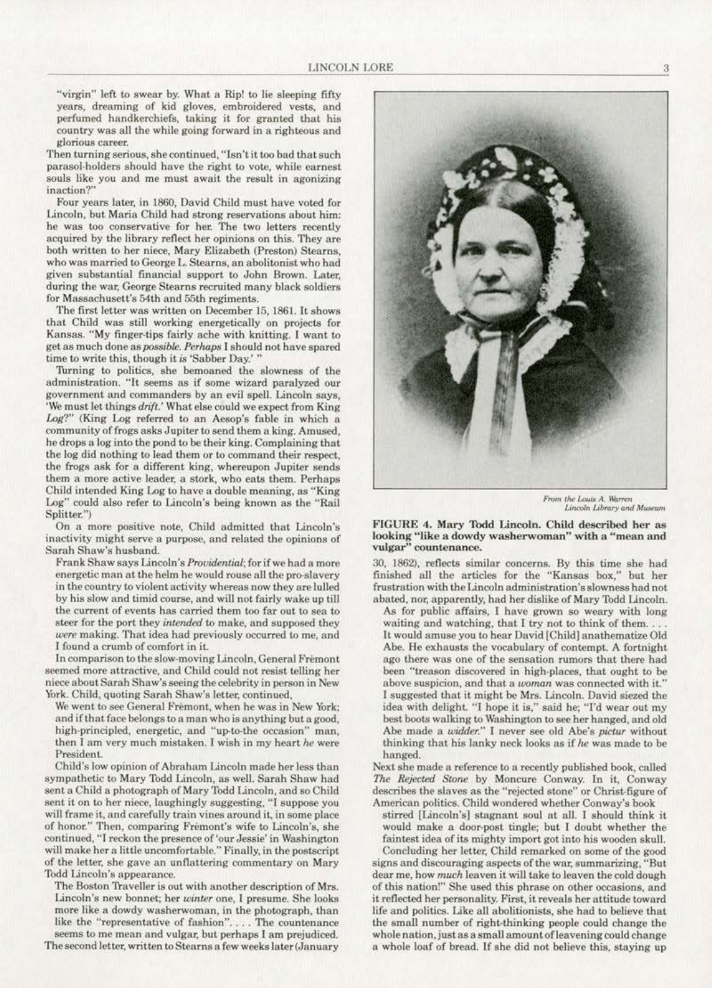"virgin" left to swear by. What a Rip! to lie sleeping fifty years, dreaming of kid gloves, embroidered vests, and perfumed handkerchiefs, taking it for granted that his country was all the while going forward in a righteous and glorious career.

Then turning serious, she continued, "Isn't it too bad that such parasol-holders should have the right to vote, while earnest souls like you and me must await the result in agonizing inaction?"

Four years later, in 1860, David Child must have voted for Lincoln, but Maria Child had strong reservations about him: he was too conservative for her. The two letters recently acquired by the library reflect her opinions on this. They are both written to her niece, Mary Elizabeth (Preston) Stearns, who was married to George L. Stearns, an abolitonist who had given substantial financial support to John Brown. Later, during the war, George Stearns recruited many black soldiers for Massachusett's 54th and 55th regiments.

The first letter was written on December 15, 1861. It shows that Child was still working energetically on projects for Kansas. "My finger-tips fairly ache with knitting. I want to get as much done as *possible. Perhaps* I should not have spared time to write this, though it *is* 'Sabber Oay.' "

Turning to politics, she bemoaned the slowness of the administration. "It seems as if some wizard paralyzed our government and commanders by an evil spell. Lincoln says, 'We must let things *drift.'* What else could we expect from King Log?" (King Log referred to an Aesop's fable in which a community of frogs asks Jupiter to send them a king. Amused, he drops a log into the pond to be their king. Complaining that the log did nothing to lead them or to command their respect, the frogs ask for a different king, whereupon Jupiter sends them a more active leader, a stork, who eats them. Perhaps Child intended King Log to have a double meaning, as "King Log" could also refer to Lincoln's being known as the "Rail Splitter.")

On a more positive note, Child admitted that Lincoln's inactivity might serve a purpose, and related the opinions of Sarah Shaw's husband.

Frank Shaw says Lincoln's *Providential*; for if we had a more energetic man at the helm he would rouse all the pro-slavery in the country to violent activity whereas now they arc lulled by his slow and timid course, and will not fairly wake up till the current of events has carried them too far out to sea to steer for the port they *intended* to make, and supposed they were making. That idea had previously occurred to me, and 1 found a crumb of comfort in iL

In comparison to the slow· moving Lincoln, Genera) Fremont seemed more attractive, and Child could not resist telling her niece about Sarah Shaw's seeing the celebrity in person in New York. Child, quoting Sarah Shaw's letter, continued,

We went to see General Fremont, when he was in New York; and if that face belongs to a man who is anything but a good. high-principled, energetic, and "up-to-the occasion" man, then I am very much mistaken. I wish in my heart *he* were President.

Child's low opinion of Abraham Lincoln made her less than sympathetic to Mary Todd Lincoln, as well. Sarah Shaw had sent a Child a photograph of Mary Todd Lincoln, and so Child sent it on to her niece, laughingly suggesting, "I suppose you will frame it, and carefully train vines around it, in some place of honor." Then, comparing Fremont's wife to Lincoln's, she continued, "I reckon the presence of'our Jessie' in Washington will make her a little uncomfortable." Finally, in the postscript of the letter. she gave an unflattering commentary on Mary Todd Lincoln's appearance.

The Boston Traveller is out with another description of Mrs. Lincoln's new bonnet; her winter one, I presume. She looks more like a dowdy washerwoman, in the photograph, than like the "representative of fashion".... The countenance seems to me mean and vulgar, but perhaps I am prejudiced.

The second letter, written to Stearns a few weeks later (January



From the Louis A. Warren *Lmcol.n l.ibmry cnd Mu\$tUm* 

## FIGURE 4. Mary Todd Lincoln. Child described her as looking "like a dowdy washerwoman" with a "mean and vulgar" countenance.

30, 1862), reflects similar concerns. Sy this time she had finished all the articles for the "Kansas box," but her frustration with the Lincoln administration's slowness had not abated, nor, apparently, had her dislike of Mary Todd Lincoln.

As for public affairs, I have grown so weary with long waiting and watching, that I try not to think of them... It would amuse you to hear David [Child] anathematize Old Abe. He exhausts the vocabulary of contempt. A fortnight ago there was one of the sensation rumors that there had been "treason discovered in high-places, that ought to be above suspicion, and that a *woman* was connected with it.." I suggested that it might be Mrs. Lincoln. David siezed the idea with delight. "I hope it is," said he; "I'd wear out my best boots walking to Washington to see her hanged, and old Abe made a *widder.*" I never see old Abe's *pictur* without thinking that his lanky neck looks as if *he* was made to be hanged.

Next she made a reference to a recently published book, called The Rejected Stone by Moncure Conway. In it, Conway describes the slaves as the "rejected stone" or Christ-figure of American politics. Child wondered whether Conway's book

stirred [Lincoln's] stagnant soul at all. I should think it would make a door-post tingle; but I doubt whether the faintest idea of its mighty import got into his wooden skull.

Concluding her letter, Child remarked on some of the good signs and discouraging aspects of the war, summarizing, ''But dear me, how *much* leaven it will take to leaven the cold dough of this nation!" She used this phrase on other occasions, and it reflected her personality. First, it reveals her attitude toward life and politics. Like all abolitionists, she had to believe that the small number of right-thinking people could change the whole nation, just as a small amount of leavening could change a whole loaf of bread. If she did not believe this, staying up